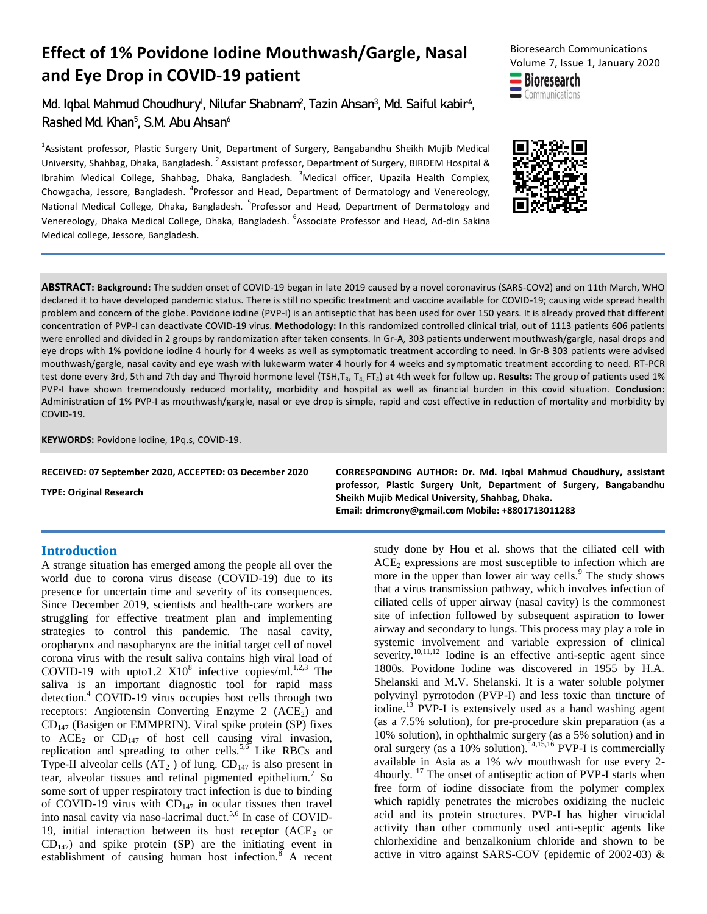# **Effect of 1% Povidone Iodine Mouthwash/Gargle, Nasal and Eye Drop in COVID-19 patient**

Md. Iqbal Mahmud Choudhury<sup>1</sup>, Nilufar Shabnam<sup>2</sup>, Tazin Ahsan<sup>3</sup>, Md. Saiful kabir<sup>4</sup>, Rashed Md. Khan<sup>5</sup>, S.M. Abu Ahsan<sup>6</sup>

<sup>1</sup>Assistant professor, Plastic Surgery Unit, Department of Surgery, Bangabandhu Sheikh Mujib Medical University, Shahbag, Dhaka, Bangladesh. <sup>2</sup> Assistant professor, Department of Surgery, BIRDEM Hospital & Ibrahim Medical College, Shahbag, Dhaka, Bangladesh. <sup>3</sup>Medical officer, Upazila Health Complex, Chowgacha, Jessore, Bangladesh. <sup>4</sup>Professor and Head, Department of Dermatology and Venereology, National Medical College, Dhaka, Bangladesh. <sup>5</sup>Professor and Head, Department of Dermatology and Venereology, Dhaka Medical College, Dhaka, Bangladesh. <sup>6</sup>Associate Professor and Head, Ad-din Sakina Medical college, Jessore, Bangladesh.







**ABSTRACT: Background:** The sudden onset of COVID-19 began in late 2019 caused by a novel coronavirus (SARS-COV2) and on 11th March, WHO declared it to have developed pandemic status. There is still no specific treatment and vaccine available for COVID-19; causing wide spread health problem and concern of the globe. Povidone iodine (PVP-I) is an antiseptic that has been used for over 150 years. It is already proved that different concentration of PVP-I can deactivate COVID-19 virus. **Methodology:** In this randomized controlled clinical trial, out of 1113 patients 606 patients were enrolled and divided in 2 groups by randomization after taken consents. In Gr-A, 303 patients underwent mouthwash/gargle, nasal drops and eye drops with 1% povidone iodine 4 hourly for 4 weeks as well as symptomatic treatment according to need. In Gr-B 303 patients were advised mouthwash/gargle, nasal cavity and eye wash with lukewarm water 4 hourly for 4 weeks and symptomatic treatment according to need. RT-PCR test done every 3rd, 5th and 7th day and Thyroid hormone level (TSH,T<sub>3</sub>, T<sub>4,</sub> FT<sub>4</sub>) at 4th week for follow up. **Results:** The group of patients used 1% PVP-I have shown tremendously reduced mortality, morbidity and hospital as well as financial burden in this covid situation. **Conclusion:** Administration of 1% PVP-I as mouthwash/gargle, nasal or eye drop is simple, rapid and cost effective in reduction of mortality and morbidity by COVID-19.

**KEYWORDS:** Povidone Iodine, 1Pq.s, COVID-19.

**TYPE: Original Research**

**RECEIVED: 07 September 2020, ACCEPTED: 03 December 2020 CORRESPONDING AUTHOR: Dr. Md. Iqbal Mahmud Choudhury, assistant professor, Plastic Surgery Unit, Department of Surgery, Bangabandhu Sheikh Mujib Medical University, Shahbag, Dhaka. Email: drimcrony@gmail.com Mobile: +8801713011283**

### **Introduction**

A strange situation has emerged among the people all over the world due to corona virus disease (COVID-19) due to its presence for uncertain time and severity of its consequences. Since December 2019, scientists and health-care workers are struggling for effective treatment plan and implementing strategies to control this pandemic. The nasal cavity, oropharynx and nasopharynx are the initial target cell of novel corona virus with the result saliva contains high viral load of COVID-19 with upto1.2  $X10^8$  infective copies/ml.<sup>1,2,3</sup> The saliva is an important diagnostic tool for rapid mass detection.<sup>4</sup> COVID-19 virus occupies host cells through two receptors: Angiotensin Converting Enzyme 2  $(ACE<sub>2</sub>)$  and  $CD_{147}$  (Basigen or EMMPRIN). Viral spike protein (SP) fixes to  $ACE<sub>2</sub>$  or  $CD<sub>147</sub>$  of host cell causing viral invasion, replication and spreading to other cells.<sup>5,6</sup> Like RBCs and Type-II alveolar cells  $(AT_2)$  of lung.  $CD_{147}$  is also present in tear, alveolar tissues and retinal pigmented epithelium.<sup>7</sup> So some sort of upper respiratory tract infection is due to binding of COVID-19 virus with  $CD_{147}$  in ocular tissues then travel into nasal cavity via naso-lacrimal duct.<sup>5,6</sup> In case of COVID-19, initial interaction between its host receptor  $(ACE<sub>2</sub>$  or  $CD_{147}$ ) and spike protein (SP) are the initiating event in establishment of causing human host infection.<sup>8</sup> A recent

study done by Hou et al. shows that the ciliated cell with  $ACE<sub>2</sub>$  expressions are most susceptible to infection which are more in the upper than lower air way cells.<sup>9</sup> The study shows that a virus transmission pathway, which involves infection of ciliated cells of upper airway (nasal cavity) is the commonest site of infection followed by subsequent aspiration to lower airway and secondary to lungs. This process may play a role in systemic involvement and variable expression of clinical severity.<sup>10,11,12</sup> Iodine is an effective anti-septic agent since 1800s. Povidone Iodine was discovered in 1955 by H.A. Shelanski and M.V. Shelanski. It is a water soluble polymer polyvinyl pyrrotodon (PVP-I) and less toxic than tincture of iodine.<sup>13</sup> PVP-I is extensively used as a hand washing agent (as a 7.5% solution), for pre-procedure skin preparation (as a 10% solution), in ophthalmic surgery (as a 5% solution) and in oral surgery (as a  $10\%$  solution).<sup>14,15,16</sup> PVP-I is commercially available in Asia as a 1% w/v mouthwash for use every 2- 4hourly.<sup>17</sup> The onset of antiseptic action of PVP-I starts when free form of iodine dissociate from the polymer complex which rapidly penetrates the microbes oxidizing the nucleic acid and its protein structures. PVP-I has higher virucidal activity than other commonly used anti-septic agents like chlorhexidine and benzalkonium chloride and shown to be active in vitro against SARS-COV (epidemic of 2002-03) &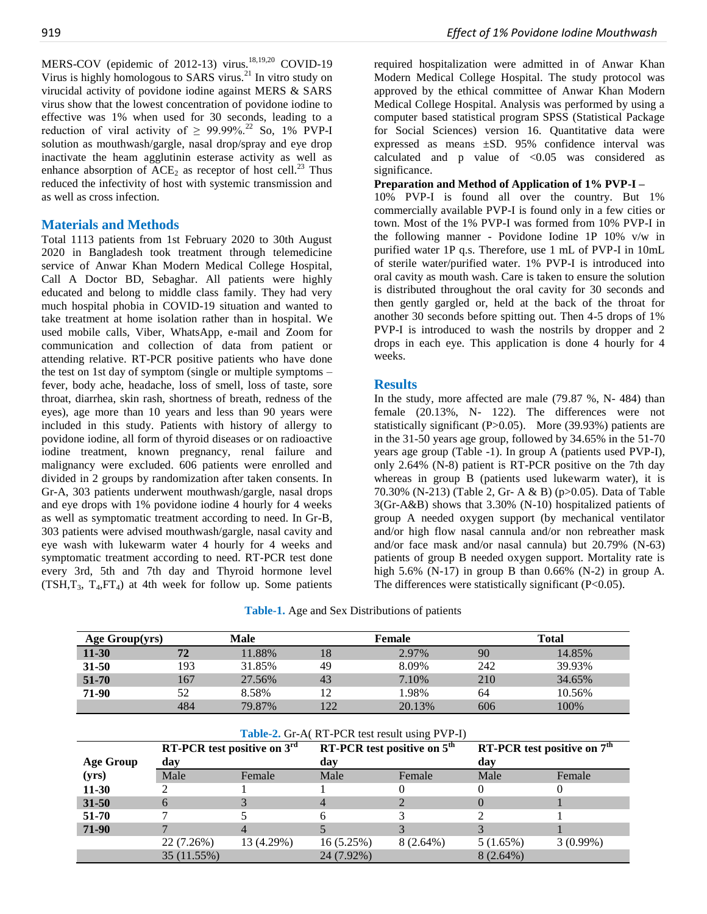MERS-COV (epidemic of 2012-13) virus.<sup>18,19,20</sup> COVID-19 Virus is highly homologous to SARS virus.<sup>21</sup> In vitro study on virucidal activity of povidone iodine against MERS & SARS virus show that the lowest concentration of povidone iodine to effective was 1% when used for 30 seconds, leading to a reduction of viral activity of  $\geq 99.99\%$ <sup>22</sup> So, 1% PVP-I solution as mouthwash/gargle, nasal drop/spray and eye drop inactivate the heam agglutinin esterase activity as well as enhance absorption of  $ACE<sub>2</sub>$  as receptor of host cell.<sup>23</sup> Thus reduced the infectivity of host with systemic transmission and as well as cross infection.

#### **Materials and Methods**

Total 1113 patients from 1st February 2020 to 30th August 2020 in Bangladesh took treatment through telemedicine service of Anwar Khan Modern Medical College Hospital, Call A Doctor BD, Sebaghar. All patients were highly educated and belong to middle class family. They had very much hospital phobia in COVID-19 situation and wanted to take treatment at home isolation rather than in hospital. We used mobile calls, Viber, WhatsApp, e-mail and Zoom for communication and collection of data from patient or attending relative. RT-PCR positive patients who have done the test on 1st day of symptom (single or multiple symptoms – fever, body ache, headache, loss of smell, loss of taste, sore throat, diarrhea, skin rash, shortness of breath, redness of the eyes), age more than 10 years and less than 90 years were included in this study. Patients with history of allergy to povidone iodine, all form of thyroid diseases or on radioactive iodine treatment, known pregnancy, renal failure and malignancy were excluded. 606 patients were enrolled and divided in 2 groups by randomization after taken consents. In Gr-A, 303 patients underwent mouthwash/gargle, nasal drops and eye drops with 1% povidone iodine 4 hourly for 4 weeks as well as symptomatic treatment according to need. In Gr-B, 303 patients were advised mouthwash/gargle, nasal cavity and eye wash with lukewarm water 4 hourly for 4 weeks and symptomatic treatment according to need. RT-PCR test done every 3rd, 5th and 7th day and Thyroid hormone level  $(TSH, T_3, T_4, FT_4)$  at 4th week for follow up. Some patients required hospitalization were admitted in of Anwar Khan Modern Medical College Hospital. The study protocol was approved by the ethical committee of Anwar Khan Modern Medical College Hospital. Analysis was performed by using a computer based statistical program SPSS (Statistical Package for Social Sciences) version 16. Quantitative data were expressed as means ±SD. 95% confidence interval was calculated and  $p$  value of  $\langle 0.05 \rangle$  was considered as significance.

#### **Preparation and Method of Application of 1% PVP-I –**

10% PVP-I is found all over the country. But 1% commercially available PVP-I is found only in a few cities or town. Most of the 1% PVP-I was formed from 10% PVP-I in the following manner - Povidone Iodine 1P 10% v/w in purified water 1P q.s. Therefore, use 1 mL of PVP-I in 10mL of sterile water/purified water. 1% PVP-I is introduced into oral cavity as mouth wash. Care is taken to ensure the solution is distributed throughout the oral cavity for 30 seconds and then gently gargled or, held at the back of the throat for another 30 seconds before spitting out. Then 4-5 drops of 1% PVP-I is introduced to wash the nostrils by dropper and 2 drops in each eye. This application is done 4 hourly for 4 weeks.

### **Results**

In the study, more affected are male (79.87 %, N- 484) than female (20.13%, N- 122). The differences were not statistically significant (P>0.05). More (39.93%) patients are in the 31-50 years age group, followed by 34.65% in the 51-70 years age group (Table -1). In group A (patients used PVP-I), only 2.64% (N-8) patient is RT-PCR positive on the 7th day whereas in group B (patients used lukewarm water), it is 70.30% (N-213) (Table 2, Gr- A & B) (p>0.05). Data of Table 3(Gr-A&B) shows that 3.30% (N-10) hospitalized patients of group A needed oxygen support (by mechanical ventilator and/or high flow nasal cannula and/or non rebreather mask and/or face mask and/or nasal cannula) but 20.79% (N-63) patients of group B needed oxygen support. Mortality rate is high 5.6% (N-17) in group B than  $0.66\%$  (N-2) in group A. The differences were statistically significant  $(P<0.05)$ .

| Table-1. Age and Sex Distributions of patients |  |  |
|------------------------------------------------|--|--|
|------------------------------------------------|--|--|

| Age Group(yrs)   |      | <b>Male</b>                   |                                               | Female                        |          | <b>Total</b>                            |
|------------------|------|-------------------------------|-----------------------------------------------|-------------------------------|----------|-----------------------------------------|
| $11 - 30$        | 72   | 11.88%                        | 18                                            | 2.97%                         | 90       | 14.85%                                  |
| $31 - 50$        | 193  | 31.85%                        | 49                                            | 8.09%                         | 242      | 39.93%                                  |
| 51-70            | 167  | 27.56%                        | 43                                            | 7.10%                         | 210      | 34.65%                                  |
| 71-90            | 52   | 8.58%                         | 12                                            | 1.98%                         | 64       | 10.56%                                  |
|                  | 484  | 79.87%                        | 122                                           | 20.13%                        | 606      | 100%                                    |
|                  |      |                               | Table-2. Gr-A(RT-PCR test result using PVP-I) |                               |          |                                         |
|                  |      |                               |                                               |                               |          |                                         |
|                  |      | RT-PCR test positive on $3rd$ |                                               | RT-PCR test positive on $5th$ |          | RT-PCR test positive on 7 <sup>th</sup> |
| <b>Age Group</b> | day  |                               | day                                           |                               | day      |                                         |
| (vrs)            | Male | Female                        | Male                                          | Female                        | Male     | Female                                  |
| $11 - 30$        |      |                               |                                               |                               | 0        |                                         |
| $31 - 50$        | 6    | 3                             | 4                                             |                               | $\theta$ |                                         |
| $51 - 70$        |      | 5                             | 6                                             | 3                             | 2        |                                         |
| 71-90            |      | $\overline{4}$                | $\overline{5}$                                | 3                             | 3        |                                         |

35 (11.55%) 24 (7.92%) 8 (2.64%)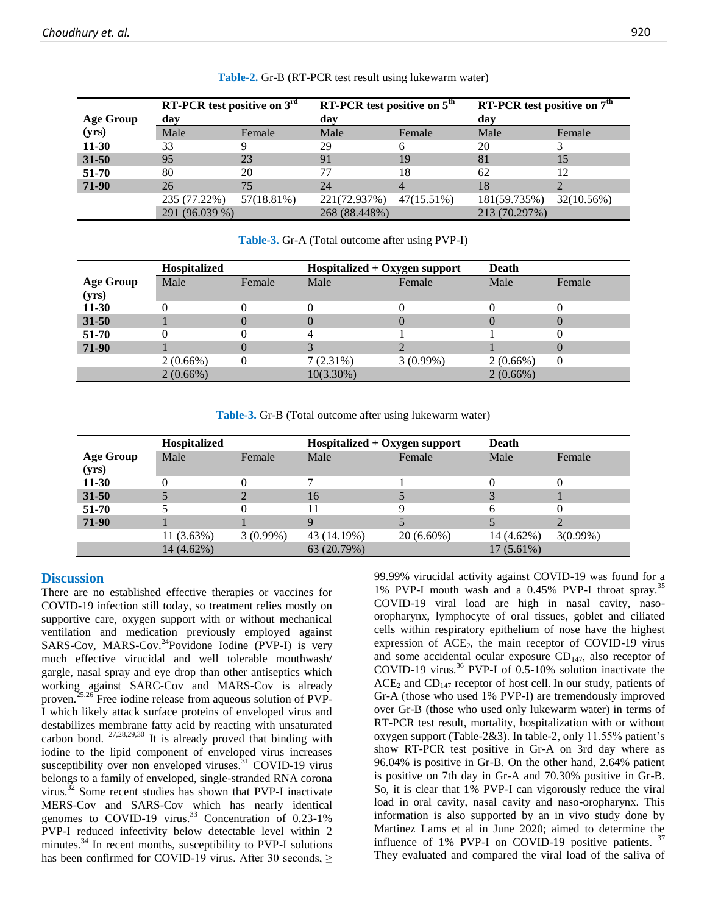|                  | RT-PCR test positive on $3rd$ |            | RT-PCR test positive on $5th$ |            | RT-PCR test positive on $7th$ |            |
|------------------|-------------------------------|------------|-------------------------------|------------|-------------------------------|------------|
| <b>Age Group</b> | day                           |            | day                           |            | day                           |            |
| (yrs)            | Male                          | Female     | Male                          | Female     | Male                          | Female     |
| $11-30$          | 33                            |            | 29                            |            | 20                            |            |
| $31 - 50$        | 95                            | 23         | 91                            | 19         | 81                            | 15         |
| 51-70            | 80                            | 20         | 77                            | 18         | 62                            | 12         |
| 71-90            | 26                            | 75         | 24                            |            | 18                            |            |
|                  | 235 (77.22%)                  | 57(18.81%) | 221(72.937%)                  | 47(15.51%) | 181(59.735%)                  | 32(10.56%) |
|                  | 291 (96.039 %)                |            | 268 (88.448%)                 |            | 213 (70.297%)                 |            |

**Table-2.** Gr-B (RT-PCR test result using lukewarm water)

| Table-3. Gr-A (Total outcome after using PVP-I) |  |  |  |  |  |  |
|-------------------------------------------------|--|--|--|--|--|--|
|-------------------------------------------------|--|--|--|--|--|--|

|                  | Hospitalized |                  | $Hospitalized + Oxygen support$ |             | Death       |        |
|------------------|--------------|------------------|---------------------------------|-------------|-------------|--------|
| <b>Age Group</b> | Male         | Female           | Male                            | Female      | Male        | Female |
| (yrs)            |              |                  |                                 |             |             |        |
| $11-30$          |              |                  |                                 |             |             |        |
| $31 - 50$        |              |                  |                                 |             |             |        |
| 51-70            |              |                  |                                 |             |             |        |
| 71-90            |              | $\left( \right)$ |                                 |             |             |        |
|                  | 2(0.66%)     | 0                | 7(2.31%)                        | $3(0.99\%)$ | $2(0.66\%)$ | 0      |
|                  | $2(0.66\%)$  |                  | $10(3.30\%)$                    |             | $2(0.66\%)$ |        |

**Table-3.** Gr-B (Total outcome after using lukewarm water)

|                           | <b>Hospitalized</b> |             | Hospitalized + Oxygen support |              | Death        |             |
|---------------------------|---------------------|-------------|-------------------------------|--------------|--------------|-------------|
| <b>Age Group</b><br>(yrs) | Male                | Female      | Male                          | Female       | Male         | Female      |
| $11-30$                   |                     |             |                               |              |              |             |
| $31 - 50$                 |                     |             | 16                            |              |              |             |
| $51 - 70$                 |                     |             |                               |              | 6            |             |
| 71-90                     |                     |             |                               |              |              |             |
|                           | 11 (3.63%)          | $3(0.99\%)$ | 43 (14.19%)                   | $20(6.60\%)$ | 14 (4.62%)   | $3(0.99\%)$ |
|                           | 14 (4.62%)          |             | 63 (20.79%)                   |              | $17(5.61\%)$ |             |

## **Discussion**

There are no established effective therapies or vaccines for COVID-19 infection still today, so treatment relies mostly on supportive care, oxygen support with or without mechanical ventilation and medication previously employed against SARS-Cov, MARS-Cov.<sup>24</sup>Povidone Iodine (PVP-I) is very much effective virucidal and well tolerable mouthwash/ gargle, nasal spray and eye drop than other antiseptics which working against SARC-Cov and MARS-Cov is already proven.25,26 Free iodine release from aqueous solution of PVP-I which likely attack surface proteins of enveloped virus and destabilizes membrane fatty acid by reacting with unsaturated carbon bond.  $27,28,29,30$  It is already proved that binding with iodine to the lipid component of enveloped virus increases susceptibility over non enveloped viruses. $31$  COVID-19 virus belongs to a family of enveloped, single-stranded RNA corona virus.<sup>32</sup> Some recent studies has shown that PVP-I inactivate MERS-Cov and SARS-Cov which has nearly identical genomes to COVID-19 virus.<sup>33</sup> Concentration of 0.23-1% PVP-I reduced infectivity below detectable level within 2 minutes.<sup>34</sup> In recent months, susceptibility to PVP-I solutions has been confirmed for COVID-19 virus. After 30 seconds,  $\geq$ 

99.99% virucidal activity against COVID-19 was found for a 1% PVP-I mouth wash and a 0.45% PVP-I throat spray.<sup>35</sup> COVID-19 viral load are high in nasal cavity, nasooropharynx, lymphocyte of oral tissues, goblet and ciliated cells within respiratory epithelium of nose have the highest expression of  $ACE<sub>2</sub>$ , the main receptor of COVID-19 virus and some accidental ocular exposure  $CD_{147}$ , also receptor of COVID-19 virus. $36$  PVP-I of 0.5-10% solution inactivate the  $ACE<sub>2</sub>$  and  $CD<sub>147</sub>$  receptor of host cell. In our study, patients of Gr-A (those who used 1% PVP-I) are tremendously improved over Gr-B (those who used only lukewarm water) in terms of RT-PCR test result, mortality, hospitalization with or without oxygen support (Table-2&3). In table-2, only 11.55% patient's show RT-PCR test positive in Gr-A on 3rd day where as 96.04% is positive in Gr-B. On the other hand, 2.64% patient is positive on 7th day in Gr-A and 70.30% positive in Gr-B. So, it is clear that 1% PVP-I can vigorously reduce the viral load in oral cavity, nasal cavity and naso-oropharynx. This information is also supported by an in vivo study done by Martinez Lams et al in June 2020; aimed to determine the influence of 1% PVP-I on COVID-19 positive patients.  $37$ They evaluated and compared the viral load of the saliva of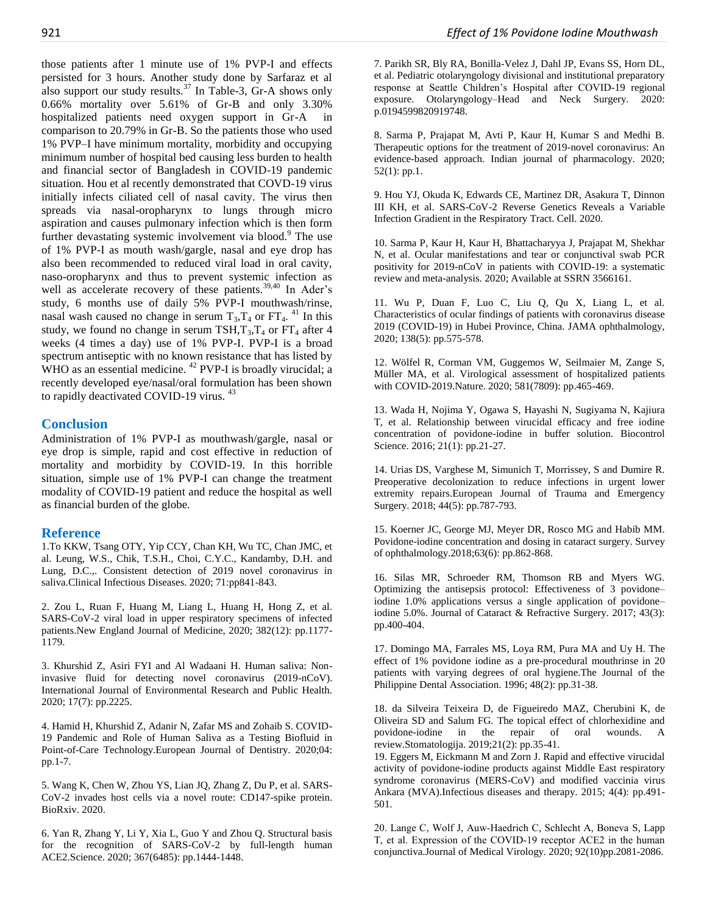those patients after 1 minute use of 1% PVP-I and effects persisted for 3 hours. Another study done by Sarfaraz et al also support our study results. $37$  In Table-3, Gr-A shows only 0.66% mortality over 5.61% of Gr-B and only 3.30% hospitalized patients need oxygen support in Gr-A in comparison to 20.79% in Gr-B. So the patients those who used 1% PVP–I have minimum mortality, morbidity and occupying minimum number of hospital bed causing less burden to health and financial sector of Bangladesh in COVID-19 pandemic situation. Hou et al recently demonstrated that COVD-19 virus initially infects ciliated cell of nasal cavity. The virus then spreads via nasal-oropharynx to lungs through micro aspiration and causes pulmonary infection which is then form further devastating systemic involvement via blood.<sup>9</sup> The use of 1% PVP-I as mouth wash/gargle, nasal and eye drop has also been recommended to reduced viral load in oral cavity, naso-oropharynx and thus to prevent systemic infection as well as accelerate recovery of these patients.<sup>39,40</sup> In Ader's study, 6 months use of daily 5% PVP-I mouthwash/rinse, nasal wash caused no change in serum  $T_3$ ,  $T_4$  or  $FT_4$ . <sup>41</sup> In this study, we found no change in serum TSH,  $T_3$ ,  $T_4$  or FT<sub>4</sub> after 4 weeks (4 times a day) use of 1% PVP-I. PVP-I is a broad spectrum antiseptic with no known resistance that has listed by WHO as an essential medicine.  $^{42}$  PVP-I is broadly virucidal; a recently developed eye/nasal/oral formulation has been shown to rapidly deactivated COVID-19 virus.<sup>43</sup>

#### **Conclusion**

Administration of 1% PVP-I as mouthwash/gargle, nasal or eye drop is simple, rapid and cost effective in reduction of mortality and morbidity by COVID-19. In this horrible situation, simple use of 1% PVP-I can change the treatment modality of COVID-19 patient and reduce the hospital as well as financial burden of the globe.

#### **Reference**

1.To KKW, Tsang OTY, Yip CCY, Chan KH, Wu TC, Chan JMC, et al. Leung, W.S., Chik, T.S.H., Choi, C.Y.C., Kandamby, D.H. and Lung, D.C.,. Consistent detection of 2019 novel coronavirus in saliva.Clinical Infectious Diseases. 2020; 71:pp841-843.

2. Zou L, Ruan F, Huang M, Liang L, Huang H, Hong Z, et al. SARS-CoV-2 viral load in upper respiratory specimens of infected patients.New England Journal of Medicine, 2020; 382(12): pp.1177- 1179.

3. Khurshid Z, Asiri FYI and Al Wadaani H. Human saliva: Noninvasive fluid for detecting novel coronavirus (2019-nCoV). International Journal of Environmental Research and Public Health. 2020; 17(7): pp.2225.

4. Hamid H, Khurshid Z, Adanir N, Zafar MS and Zohaib S. COVID-19 Pandemic and Role of Human Saliva as a Testing Biofluid in Point-of-Care Technology.European Journal of Dentistry. 2020;04: pp.1-7.

5. Wang K, Chen W, Zhou YS, Lian JQ, Zhang Z, Du P, et al. SARS-CoV-2 invades host cells via a novel route: CD147-spike protein. BioRxiv. 2020.

6. Yan R, Zhang Y, Li Y, Xia L, Guo Y and Zhou Q. Structural basis for the recognition of SARS-CoV-2 by full-length human ACE2.Science. 2020; 367(6485): pp.1444-1448.

7. Parikh SR, Bly RA, Bonilla-Velez J, Dahl JP, Evans SS, Horn DL, et al. Pediatric otolaryngology divisional and institutional preparatory response at Seattle Children's Hospital after COVID-19 regional exposure. Otolaryngology–Head and Neck Surgery. 2020: p.0194599820919748.

8. Sarma P, Prajapat M, Avti P, Kaur H, Kumar S and Medhi B. Therapeutic options for the treatment of 2019-novel coronavirus: An evidence-based approach. Indian journal of pharmacology. 2020; 52(1): pp.1.

9. Hou YJ, Okuda K, Edwards CE, Martinez DR, Asakura T, Dinnon III KH, et al. SARS-CoV-2 Reverse Genetics Reveals a Variable Infection Gradient in the Respiratory Tract. Cell. 2020.

10. Sarma P, Kaur H, Kaur H, Bhattacharyya J, Prajapat M, Shekhar N, et al. Ocular manifestations and tear or conjunctival swab PCR positivity for 2019-nCoV in patients with COVID-19: a systematic review and meta-analysis. 2020; Available at SSRN 3566161.

11. Wu P, Duan F, Luo C, Liu Q, Qu X, Liang L, et al. Characteristics of ocular findings of patients with coronavirus disease 2019 (COVID-19) in Hubei Province, China. JAMA ophthalmology, 2020; 138(5): pp.575-578.

12. Wölfel R, Corman VM, Guggemos W, Seilmaier M, Zange S, Müller MA, et al. Virological assessment of hospitalized patients with COVID-2019.Nature. 2020; 581(7809): pp.465-469.

13. Wada H, Nojima Y, Ogawa S, Hayashi N, Sugiyama N, Kajiura T, et al. Relationship between virucidal efficacy and free iodine concentration of povidone-iodine in buffer solution. Biocontrol Science. 2016; 21(1): pp.21-27.

14. Urias DS, Varghese M, Simunich T, Morrissey, S and Dumire R. Preoperative decolonization to reduce infections in urgent lower extremity repairs.European Journal of Trauma and Emergency Surgery. 2018; 44(5): pp.787-793.

15. Koerner JC, George MJ, Meyer DR, Rosco MG and Habib MM. Povidone-iodine concentration and dosing in cataract surgery. Survey of ophthalmology.2018;63(6): pp.862-868.

16. Silas MR, Schroeder RM, Thomson RB and Myers WG. Optimizing the antisepsis protocol: Effectiveness of 3 povidone– iodine 1.0% applications versus a single application of povidone– iodine 5.0%. Journal of Cataract & Refractive Surgery. 2017; 43(3): pp.400-404.

17. Domingo MA, Farrales MS, Loya RM, Pura MA and Uy H. The effect of 1% povidone iodine as a pre-procedural mouthrinse in 20 patients with varying degrees of oral hygiene.The Journal of the Philippine Dental Association. 1996; 48(2): pp.31-38.

18. da Silveira Teixeira D, de Figueiredo MAZ, Cherubini K, de Oliveira SD and Salum FG. The topical effect of chlorhexidine and povidone-iodine in the repair of oral wounds. A review.Stomatologija. 2019;21(2): pp.35-41.

19. Eggers M, Eickmann M and Zorn J. Rapid and effective virucidal activity of povidone-iodine products against Middle East respiratory syndrome coronavirus (MERS-CoV) and modified vaccinia virus Ankara (MVA).Infectious diseases and therapy. 2015; 4(4): pp.491- 501.

20. Lange C, Wolf J, Auw‐Haedrich C, Schlecht A, Boneva S, Lapp T, et al. Expression of the COVID‐19 receptor ACE2 in the human conjunctiva.Journal of Medical Virology. 2020; 92(10)pp.2081-2086.